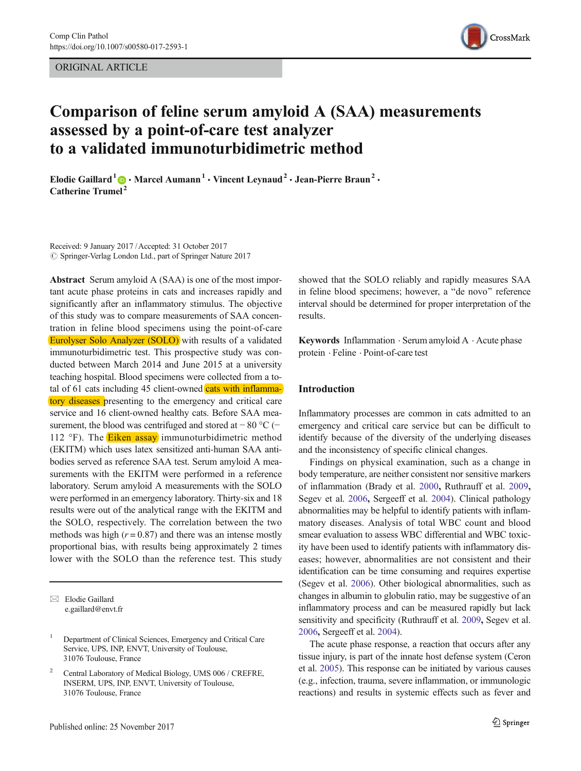ORIGINAL ARTICLE



# Comparison of feline serum amyloid A (SAA) measurements assessed by a point-of-care test analyzer to a validated immunoturbidimetric method

Elodie Gaillard<sup>1</sup>  $\bigcirc$  • Marcel Aumann<sup>1</sup> • Vincent Leynaud<sup>2</sup> • Jean-Pierre Braun<sup>2</sup> • Catherine Trumel <sup>2</sup>

Received: 9 January 2017 /Accepted: 31 October 2017  $\circled{c}$  Springer-Verlag London Ltd., part of Springer Nature 2017

Abstract Serum amyloid A (SAA) is one of the most important acute phase proteins in cats and increases rapidly and significantly after an inflammatory stimulus. The objective of this study was to compare measurements of SAA concentration in feline blood specimens using the point-of-care Eurolyser Solo Analyzer (SOLO) with results of a validated immunoturbidimetric test. This prospective study was conducted between March 2014 and June 2015 at a university teaching hospital. Blood specimens were collected from a total of  $61$  cats including  $45$  client-owned cats with inflammatory diseases presenting to the emergency and critical care service and 16 client-owned healthy cats. Before SAA measurement, the blood was centrifuged and stored at −80 °C (− 112 °F). The **Eiken assay** immunoturbidimetric method (EKITM) which uses latex sensitized anti-human SAA antibodies served as reference SAA test. Serum amyloid A measurements with the EKITM were performed in a reference laboratory. Serum amyloid A measurements with the SOLO were performed in an emergency laboratory. Thirty-six and 18 results were out of the analytical range with the EKITM and the SOLO, respectively. The correlation between the two methods was high  $(r = 0.87)$  and there was an intense mostly proportional bias, with results being approximately 2 times lower with the SOLO than the reference test. This study

 $\boxtimes$  Elodie Gaillard [e.gaillard@envt.fr](mailto:e.gaillard@envt.fr) showed that the SOLO reliably and rapidly measures SAA in feline blood specimens; however, a "de novo" reference interval should be determined for proper interpretation of the results.

Keywords Inflammation · Serum amyloid A · Acute phase protein . Feline . Point-of-care test

# Introduction

Inflammatory processes are common in cats admitted to an emergency and critical care service but can be difficult to identify because of the diversity of the underlying diseases and the inconsistency of specific clinical changes.

Findings on physical examination, such as a change in body temperature, are neither consistent nor sensitive markers of inflammation (Brady et al. [2000](#page-3-0), Ruthrauff et al. [2009](#page-4-0), Segev et al. [2006](#page-4-0), Sergeeff et al. [2004\)](#page-4-0). Clinical pathology abnormalities may be helpful to identify patients with inflammatory diseases. Analysis of total WBC count and blood smear evaluation to assess WBC differential and WBC toxicity have been used to identify patients with inflammatory diseases; however, abnormalities are not consistent and their identification can be time consuming and requires expertise (Segev et al. [2006\)](#page-4-0). Other biological abnormalities, such as changes in albumin to globulin ratio, may be suggestive of an inflammatory process and can be measured rapidly but lack sensitivity and specificity (Ruthrauff et al. [2009](#page-4-0), Segev et al. [2006](#page-4-0), Sergeeff et al. [2004\)](#page-4-0).

The acute phase response, a reaction that occurs after any tissue injury, is part of the innate host defense system (Ceron et al. [2005\)](#page-3-0). This response can be initiated by various causes (e.g., infection, trauma, severe inflammation, or immunologic reactions) and results in systemic effects such as fever and

<sup>1</sup> Department of Clinical Sciences, Emergency and Critical Care Service, UPS, INP, ENVT, University of Toulouse, 31076 Toulouse, France

Central Laboratory of Medical Biology, UMS 006 / CREFRE, INSERM, UPS, INP, ENVT, University of Toulouse, 31076 Toulouse, France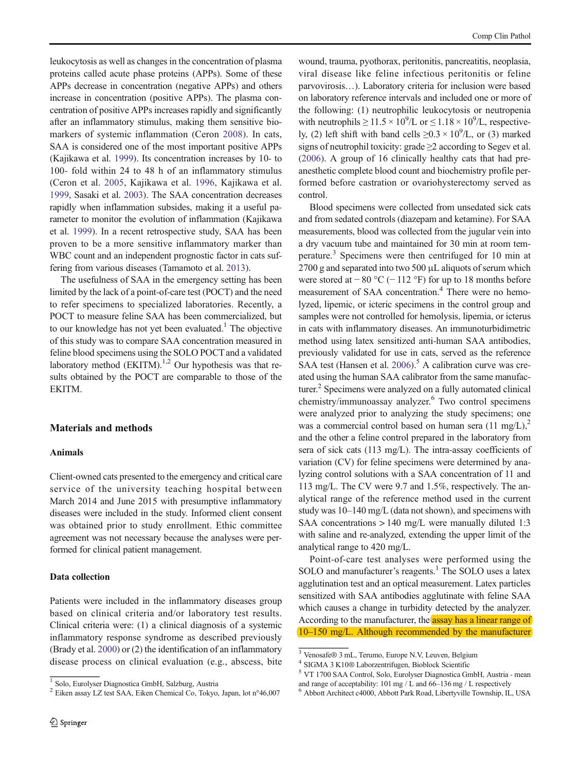leukocytosis as well as changes in the concentration of plasma proteins called acute phase proteins (APPs). Some of these APPs decrease in concentration (negative APPs) and others increase in concentration (positive APPs). The plasma concentration of positive APPs increases rapidly and significantly after an inflammatory stimulus, making them sensitive biomarkers of systemic inflammation (Ceron [2008\)](#page-3-0). In cats, SAA is considered one of the most important positive APPs (Kajikawa et al. [1999\)](#page-4-0). Its concentration increases by 10- to 100- fold within 24 to 48 h of an inflammatory stimulus (Ceron et al. [2005](#page-3-0), Kajikawa et al. [1996](#page-4-0), Kajikawa et al. [1999,](#page-4-0) Sasaki et al. [2003\)](#page-4-0). The SAA concentration decreases rapidly when inflammation subsides, making it a useful parameter to monitor the evolution of inflammation (Kajikawa et al. [1999](#page-4-0)). In a recent retrospective study, SAA has been proven to be a more sensitive inflammatory marker than WBC count and an independent prognostic factor in cats suffering from various diseases (Tamamoto et al. [2013\)](#page-4-0).

The usefulness of SAA in the emergency setting has been limited by the lack of a point-of-care test (POCT) and the need to refer specimens to specialized laboratories. Recently, a POCT to measure feline SAA has been commercialized, but to our knowledge has not yet been evaluated.<sup>1</sup> The objective of this study was to compare SAA concentration measured in feline blood specimens using the SOLO POCT and a validated laboratory method  $(EKITM)$ .<sup>1,2</sup> Our hypothesis was that results obtained by the POCT are comparable to those of the EKITM.

# Materials and methods

## Animals

Client-owned cats presented to the emergency and critical care service of the university teaching hospital between March 2014 and June 2015 with presumptive inflammatory diseases were included in the study. Informed client consent was obtained prior to study enrollment. Ethic committee agreement was not necessary because the analyses were performed for clinical patient management.

# Data collection

Patients were included in the inflammatory diseases group based on clinical criteria and/or laboratory test results. Clinical criteria were: (1) a clinical diagnosis of a systemic inflammatory response syndrome as described previously (Brady et al. [2000\)](#page-3-0) or (2) the identification of an inflammatory disease process on clinical evaluation (e.g., abscess, bite

wound, trauma, pyothorax, peritonitis, pancreatitis, neoplasia, viral disease like feline infectious peritonitis or feline parvovirosis…). Laboratory criteria for inclusion were based on laboratory reference intervals and included one or more of the following: (1) neutrophilic leukocytosis or neutropenia with neutrophils  $\geq 11.5 \times 10^9$ /L or  $\leq 1.18 \times 10^9$ /L, respectively, (2) left shift with band cells  $\geq 0.3 \times 10^9$ /L, or (3) marked signs of neutrophil toxicity: grade ≥2 according to Segev et al. [\(2006](#page-4-0)). A group of 16 clinically healthy cats that had preanesthetic complete blood count and biochemistry profile performed before castration or ovariohysterectomy served as control.

Blood specimens were collected from unsedated sick cats and from sedated controls (diazepam and ketamine). For SAA measurements, blood was collected from the jugular vein into a dry vacuum tube and maintained for 30 min at room temperature.<sup>3</sup> Specimens were then centrifuged for 10 min at 2700 g and separated into two 500 μL aliquots of serum which were stored at  $-80$  °C ( $-112$  °F) for up to 18 months before measurement of SAA concentration.<sup>4</sup> There were no hemolyzed, lipemic, or icteric specimens in the control group and samples were not controlled for hemolysis, lipemia, or icterus in cats with inflammatory diseases. An immunoturbidimetric method using latex sensitized anti-human SAA antibodies, previously validated for use in cats, served as the reference SAA test (Hansen et al.  $2006$ ).<sup>5</sup> A calibration curve was created using the human SAA calibrator from the same manufacturer.<sup>2</sup> Specimens were analyzed on a fully automated clinical chemistry/immunoassay analyzer.<sup>6</sup> Two control specimens were analyzed prior to analyzing the study specimens; one was a commercial control based on human sera  $(11 \text{ mg/L})$ ,<sup>2</sup> and the other a feline control prepared in the laboratory from sera of sick cats (113 mg/L). The intra-assay coefficients of variation (CV) for feline specimens were determined by analyzing control solutions with a SAA concentration of 11 and 113 mg/L. The CV were 9.7 and 1.5%, respectively. The analytical range of the reference method used in the current study was 10–140 mg/L (data not shown), and specimens with SAA concentrations  $> 140$  mg/L were manually diluted 1:3 with saline and re-analyzed, extending the upper limit of the analytical range to 420 mg/L.

Point-of-care test analyses were performed using the SOLO and manufacturer's reagents.<sup>1</sup> The SOLO uses a latex agglutination test and an optical measurement. Latex particles sensitized with SAA antibodies agglutinate with feline SAA which causes a change in turbidity detected by the analyzer. According to the manufacturer, the assay has a linear range of 10–150 mg/L. Although recommended by the manufacturer

<sup>&</sup>lt;sup>1</sup> Solo, Eurolyser Diagnostica GmbH, Salzburg, Austria

 $2$  Eiken assay LZ test SAA, Eiken Chemical Co, Tokyo, Japan, lot n°46,007

<sup>3</sup> Venosafe® 3 mL, Terumo, Europe N.V, Leuven, Belgium

<sup>4</sup> SIGMA 3 K10® Laborzentrifugen, Bioblock Scientific

<sup>5</sup> VT 1700 SAA Control, Solo, Eurolyser Diagnostica GmbH, Austria - mean and range of acceptability: 101 mg / L and 66–136 mg / L respectively  $^6$  Abbott Architect c4000, Abbott Park Road, Libertyville Township, IL, USA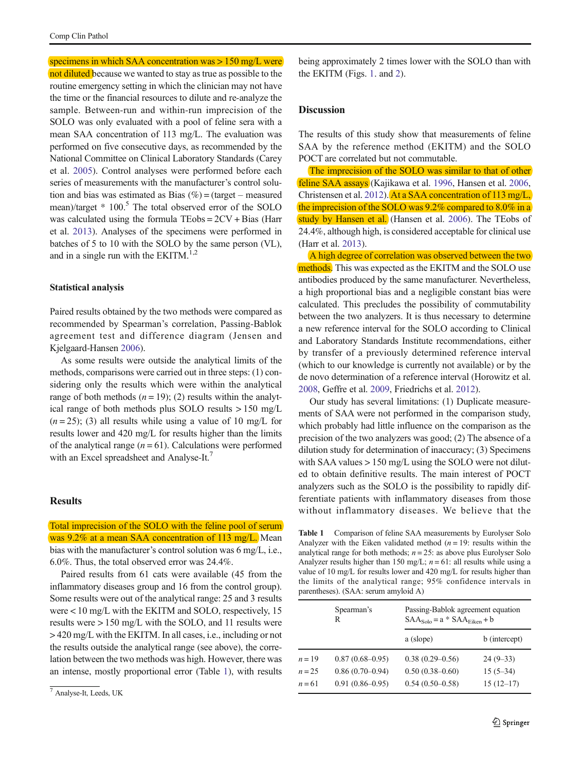specimens in which SAA concentration was > 150 mg/L were not diluted because we wanted to stay as true as possible to the routine emergency setting in which the clinician may not have the time or the financial resources to dilute and re-analyze the sample. Between-run and within-run imprecision of the SOLO was only evaluated with a pool of feline sera with a mean SAA concentration of 113 mg/L. The evaluation was performed on five consecutive days, as recommended by the National Committee on Clinical Laboratory Standards (Carey et al. [2005\)](#page-3-0). Control analyses were performed before each series of measurements with the manufacturer's control solution and bias was estimated as Bias  $(\%)$  = (target – measured mean)/target \* 100.<sup>5</sup> The total observed error of the SOLO was calculated using the formula TEobs = 2CV + Bias (Harr et al. [2013](#page-4-0)). Analyses of the specimens were performed in batches of 5 to 10 with the SOLO by the same person (VL), and in a single run with the EKITM. $^{1,2}$ 

## Statistical analysis

Paired results obtained by the two methods were compared as recommended by Spearman's correlation, Passing-Bablok agreement test and difference diagram (Jensen and Kjelgaard-Hansen [2006\)](#page-4-0).

As some results were outside the analytical limits of the methods, comparisons were carried out in three steps: (1) considering only the results which were within the analytical range of both methods  $(n = 19)$ ; (2) results within the analytical range of both methods plus SOLO results > 150 mg/L  $(n = 25)$ ; (3) all results while using a value of 10 mg/L for results lower and 420 mg/L for results higher than the limits of the analytical range  $(n = 61)$ . Calculations were performed with an Excel spreadsheet and Analyse-It.<sup>7</sup>

#### Results

Total imprecision of the SOLO with the feline pool of serum was 9.2% at a mean SAA concentration of 113 mg/L. Mean bias with the manufacturer's control solution was 6 mg/L, i.e., 6.0%. Thus, the total observed error was 24.4%.

Paired results from 61 cats were available (45 from the inflammatory diseases group and 16 from the control group). Some results were out of the analytical range: 25 and 3 results were < 10 mg/L with the EKITM and SOLO, respectively, 15 results were > 150 mg/L with the SOLO, and 11 results were > 420 mg/L with the EKITM. In all cases, i.e., including or not the results outside the analytical range (see above), the correlation between the two methods was high. However, there was an intense, mostly proportional error (Table 1), with results being approximately 2 times lower with the SOLO than with the EKITM (Figs. [1.](#page-3-0) and [2\)](#page-3-0).

# **Discussion**

The results of this study show that measurements of feline SAA by the reference method (EKITM) and the SOLO POCT are correlated but not commutable.

The imprecision of the SOLO was similar to that of other feline SAA assays (Kajikawa et al. [1996,](#page-4-0) Hansen et al. [2006,](#page-4-0) Christensen et al. [2012](#page-3-0)). At a SAA concentration of 113 mg/L, the imprecision of the SOLO was 9.2% compared to 8.0% in a study by Hansen et al. (Hansen et al. [2006](#page-4-0)). The TEobs of 24.4%, although high, is considered acceptable for clinical use (Harr et al. [2013\)](#page-4-0).

A high degree of correlation was observed between the two methods. This was expected as the EKITM and the SOLO use antibodies produced by the same manufacturer. Nevertheless, a high proportional bias and a negligible constant bias were calculated. This precludes the possibility of commutability between the two analyzers. It is thus necessary to determine a new reference interval for the SOLO according to Clinical and Laboratory Standards Institute recommendations, either by transfer of a previously determined reference interval (which to our knowledge is currently not available) or by the de novo determination of a reference interval (Horowitz et al. [2008,](#page-4-0) Geffre et al. [2009](#page-4-0), Friedrichs et al. [2012](#page-3-0)).

Our study has several limitations: (1) Duplicate measurements of SAA were not performed in the comparison study, which probably had little influence on the comparison as the precision of the two analyzers was good; (2) The absence of a dilution study for determination of inaccuracy; (3) Specimens with SAA values  $> 150$  mg/L using the SOLO were not diluted to obtain definitive results. The main interest of POCT analyzers such as the SOLO is the possibility to rapidly differentiate patients with inflammatory diseases from those without inflammatory diseases. We believe that the

Table 1 Comparison of feline SAA measurements by Eurolyser Solo Analyzer with the Eiken validated method  $(n = 19)$ : results within the analytical range for both methods;  $n = 25$ : as above plus Eurolyser Solo Analyzer results higher than 150 mg/L;  $n = 61$ : all results while using a value of 10 mg/L for results lower and 420 mg/L for results higher than the limits of the analytical range; 95% confidence intervals in parentheses). (SAA: serum amyloid A)

|           | Spearman's<br>R     | Passing-Bablok agreement equation<br>$SAA_{Solo} = a * SAA_{Eiken} + b$ |               |
|-----------|---------------------|-------------------------------------------------------------------------|---------------|
|           |                     | a (slope)                                                               | b (intercept) |
| $n=19$    | $0.87(0.68 - 0.95)$ | $0.38(0.29 - 0.56)$                                                     | $24(9-33)$    |
| $n = 2.5$ | $0.86(0.70-0.94)$   | $0.50(0.38 - 0.60)$                                                     | $15(5-34)$    |
| $n = 61$  | $0.91(0.86 - 0.95)$ | $0.54(0.50-0.58)$                                                       | $15(12-17)$   |

<sup>7</sup> Analyse-It, Leeds, UK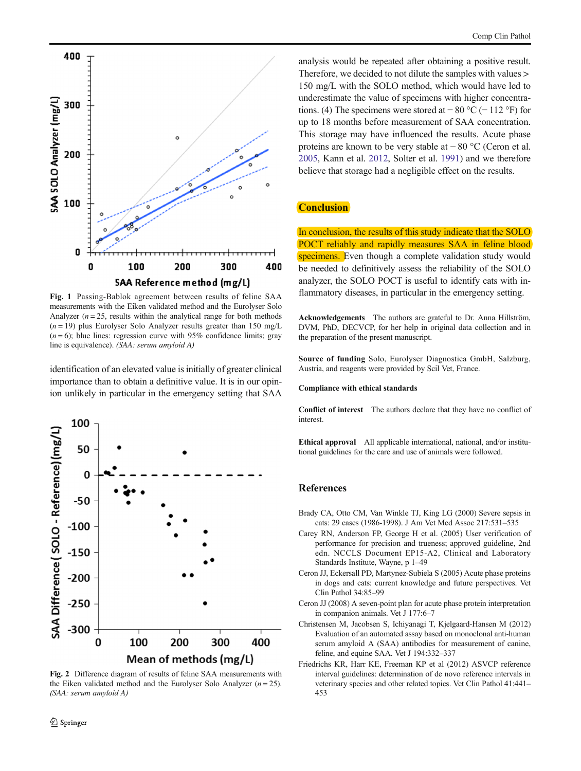<span id="page-3-0"></span>

Fig. 1 Passing-Bablok agreement between results of feline SAA measurements with the Eiken validated method and the Eurolyser Solo Analyzer  $(n = 25$ , results within the analytical range for both methods  $(n = 19)$  plus Eurolyser Solo Analyzer results greater than 150 mg/L  $(n=6)$ ; blue lines: regression curve with 95% confidence limits; gray line is equivalence). (SAA: serum amyloid A)

identification of an elevated value is initially of greater clinical importance than to obtain a definitive value. It is in our opinion unlikely in particular in the emergency setting that SAA



Fig. 2 Difference diagram of results of feline SAA measurements with the Eiken validated method and the Eurolyser Solo Analyzer  $(n = 25)$ . (SAA: serum amyloid A)

analysis would be repeated after obtaining a positive result. Therefore, we decided to not dilute the samples with values > 150 mg/L with the SOLO method, which would have led to underestimate the value of specimens with higher concentrations. (4) The specimens were stored at  $-80\degree C$  (− 112 °F) for up to 18 months before measurement of SAA concentration. This storage may have influenced the results. Acute phase proteins are known to be very stable at − 80 °C (Ceron et al. 2005, Kann et al. [2012,](#page-4-0) Solter et al. [1991\)](#page-4-0) and we therefore believe that storage had a negligible effect on the results.

## **Conclusion**

In conclusion, the results of this study indicate that the SOLO POCT reliably and rapidly measures SAA in feline blood specimens. Even though a complete validation study would be needed to definitively assess the reliability of the SOLO analyzer, the SOLO POCT is useful to identify cats with inflammatory diseases, in particular in the emergency setting.

Acknowledgements The authors are grateful to Dr. Anna Hillström, DVM, PhD, DECVCP, for her help in original data collection and in the preparation of the present manuscript.

Source of funding Solo, Eurolyser Diagnostica GmbH, Salzburg, Austria, and reagents were provided by Scil Vet, France.

#### Compliance with ethical standards

Conflict of interest The authors declare that they have no conflict of interest.

Ethical approval All applicable international, national, and/or institutional guidelines for the care and use of animals were followed.

## **References**

- Brady CA, Otto CM, Van Winkle TJ, King LG (2000) Severe sepsis in cats: 29 cases (1986-1998). J Am Vet Med Assoc 217:531–535
- Carey RN, Anderson FP, George H et al. (2005) User verification of performance for precision and trueness; approved guideline, 2nd edn. NCCLS Document EP15-A2, Clinical and Laboratory Standards Institute, Wayne, p 1–49
- Ceron JJ, Eckersall PD, Martynez-Subiela S (2005) Acute phase proteins in dogs and cats: current knowledge and future perspectives. Vet Clin Pathol 34:85–99
- Ceron JJ (2008) A seven-point plan for acute phase protein interpretation in companion animals. Vet J 177:6–7
- Christensen M, Jacobsen S, Ichiyanagi T, Kjelgaard-Hansen M (2012) Evaluation of an automated assay based on monoclonal anti-human serum amyloid A (SAA) antibodies for measurement of canine, feline, and equine SAA. Vet J 194:332–337
- Friedrichs KR, Harr KE, Freeman KP et al (2012) ASVCP reference interval guidelines: determination of de novo reference intervals in veterinary species and other related topics. Vet Clin Pathol 41:441– 453